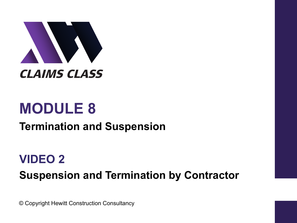

# **MODULE 8**

### **Termination and Suspension**

## **VIDEO 2 Suspension and Termination by Contractor**

© Copyright Hewitt Construction Consultancy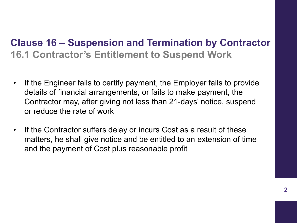#### **Clause 16 – Suspension and Termination by Contractor 16.1 Contractor's Entitlement to Suspend Work**

- If the Engineer fails to certify payment, the Employer fails to provide details of financial arrangements, or fails to make payment, the Contractor may, after giving not less than 21-days' notice, suspend or reduce the rate of work
- If the Contractor suffers delay or incurs Cost as a result of these matters, he shall give notice and be entitled to an extension of time and the payment of Cost plus reasonable profit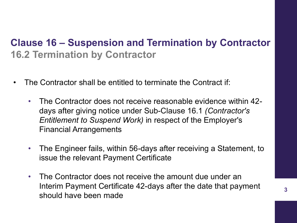#### **Clause 16 – Suspension and Termination by Contractor 16.2 Termination by Contractor**

- The Contractor shall be entitled to terminate the Contract if:
	- The Contractor does not receive reasonable evidence within 42 days after giving notice under Sub-Clause 16.1 *(Contractor's Entitlement to Suspend Work)* in respect of the Employer's Financial Arrangements
	- The Engineer fails, within 56-days after receiving a Statement, to issue the relevant Payment Certificate
	- The Contractor does not receive the amount due under an Interim Payment Certificate 42-days after the date that payment should have been made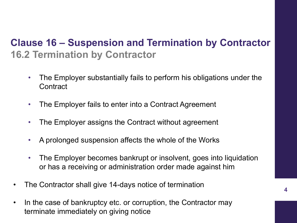#### **Clause 16 – Suspension and Termination by Contractor 16.2 Termination by Contractor**

- The Employer substantially fails to perform his obligations under the **Contract**
- The Employer fails to enter into a Contract Agreement
- The Employer assigns the Contract without agreement
- A prolonged suspension affects the whole of the Works
- The Employer becomes bankrupt or insolvent, goes into liquidation or has a receiving or administration order made against him
- The Contractor shall give 14-days notice of termination
- In the case of bankruptcy etc. or corruption, the Contractor may terminate immediately on giving notice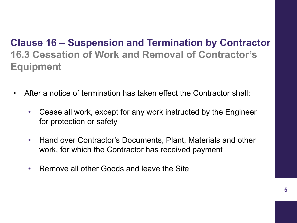#### **Clause 16 – Suspension and Termination by Contractor 16.3 Cessation of Work and Removal of Contractor's Equipment**

- After a notice of termination has taken effect the Contractor shall:
	- Cease all work, except for any work instructed by the Engineer for protection or safety
	- Hand over Contractor's Documents, Plant, Materials and other work, for which the Contractor has received payment
	- Remove all other Goods and leave the Site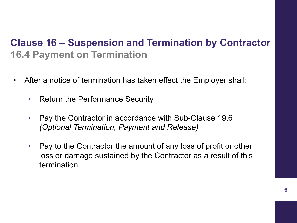#### **Clause 16 – Suspension and Termination by Contractor 16.4 Payment on Termination**

- After a notice of termination has taken effect the Employer shall:
	- Return the Performance Security
	- Pay the Contractor in accordance with Sub-Clause 19.6 *(Optional Termination, Payment and Release)*
	- Pay to the Contractor the amount of any loss of profit or other loss or damage sustained by the Contractor as a result of this termination